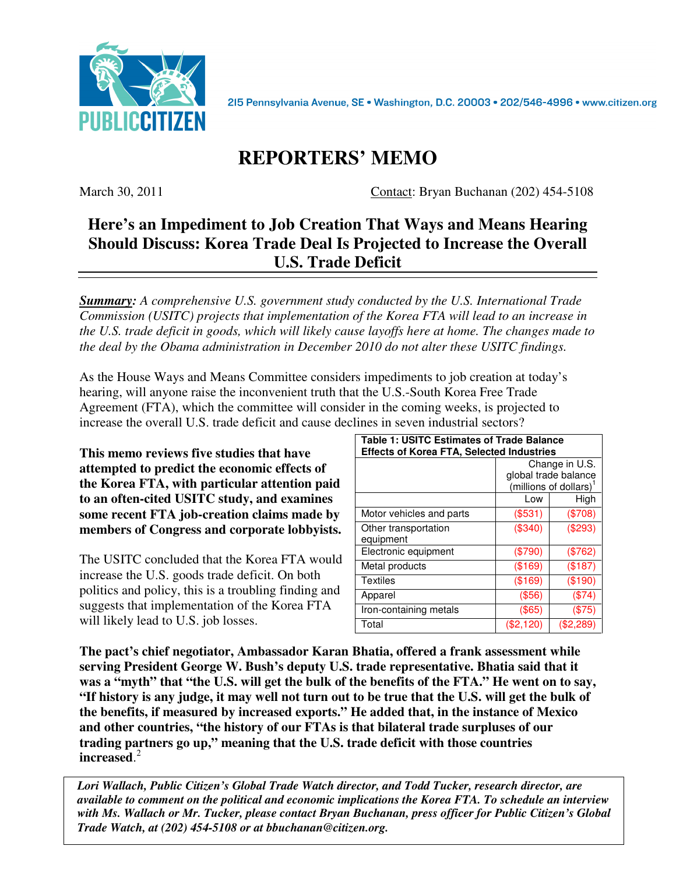

215 Pennsylvania Avenue, SE · Washington, D.C. 20003 · 202/546-4996 · www.citizen.org

# **REPORTERS' MEMO**

March 30, 2011 Contact: Bryan Buchanan (202) 454-5108

# **Here's an Impediment to Job Creation That Ways and Means Hearing Should Discuss: Korea Trade Deal Is Projected to Increase the Overall U.S. Trade Deficit**

*Summary: A comprehensive U.S. government study conducted by the U.S. International Trade Commission (USITC) projects that implementation of the Korea FTA will lead to an increase in the U.S. trade deficit in goods, which will likely cause layoffs here at home. The changes made to the deal by the Obama administration in December 2010 do not alter these USITC findings.* 

As the House Ways and Means Committee considers impediments to job creation at today's hearing, will anyone raise the inconvenient truth that the U.S.-South Korea Free Trade Agreement (FTA), which the committee will consider in the coming weeks, is projected to increase the overall U.S. trade deficit and cause declines in seven industrial sectors?

**This memo reviews five studies that have attempted to predict the economic effects of the Korea FTA, with particular attention paid to an often-cited USITC study, and examines some recent FTA job-creation claims made by members of Congress and corporate lobbyists.** 

The USITC concluded that the Korea FTA would increase the U.S. goods trade deficit. On both politics and policy, this is a troubling finding and suggests that implementation of the Korea FTA will likely lead to U.S. job losses.

| <b>Table 1: USITC Estimates of Trade Balance</b><br><b>Effects of Korea FTA, Selected Industries</b> |                                                                 |             |
|------------------------------------------------------------------------------------------------------|-----------------------------------------------------------------|-------------|
|                                                                                                      | Change in U.S.<br>global trade balance<br>(millions of dollars) |             |
|                                                                                                      | Low                                                             | High        |
| Motor vehicles and parts                                                                             | $(\$531)$                                                       | (\$708)     |
| Other transportation<br>equipment                                                                    | $(\$340)$                                                       | $(\$293)$   |
| Electronic equipment                                                                                 | $(\$790)$                                                       | (\$762)     |
| Metal products                                                                                       | (\$169)                                                         | (\$187)     |
| <b>Textiles</b>                                                                                      | (\$169)                                                         | (\$190)     |
| Apparel                                                                                              | $($ \$56)                                                       | (\$74)      |
| Iron-containing metals                                                                               | $(\$65)$                                                        | (\$75)      |
| Total                                                                                                | $(\$2,120)$                                                     | $(\$2,289)$ |

**The pact's chief negotiator, Ambassador Karan Bhatia, offered a frank assessment while serving President George W. Bush's deputy U.S. trade representative. Bhatia said that it was a "myth" that "the U.S. will get the bulk of the benefits of the FTA." He went on to say, "If history is any judge, it may well not turn out to be true that the U.S. will get the bulk of the benefits, if measured by increased exports." He added that, in the instance of Mexico and other countries, "the history of our FTAs is that bilateral trade surpluses of our trading partners go up," meaning that the U.S. trade deficit with those countries increased**. 2

*Lori Wallach, Public Citizen's Global Trade Watch director, and Todd Tucker, research director, are available to comment on the political and economic implications the Korea FTA. To schedule an interview with Ms. Wallach or Mr. Tucker, please contact Bryan Buchanan, press officer for Public Citizen's Global Trade Watch, at (202) 454-5108 or at bbuchanan@citizen.org.*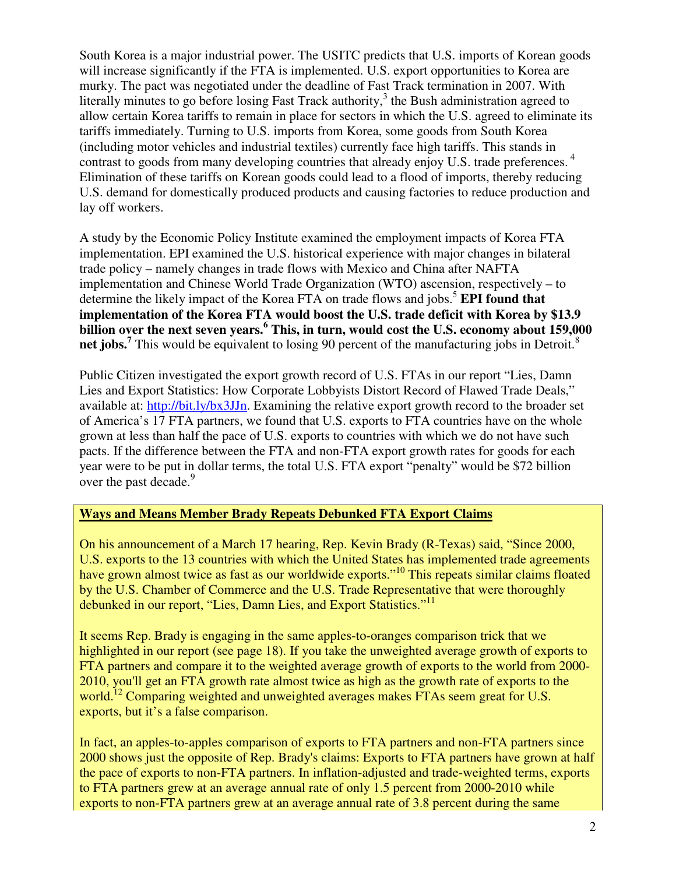South Korea is a major industrial power. The USITC predicts that U.S. imports of Korean goods will increase significantly if the FTA is implemented. U.S. export opportunities to Korea are murky. The pact was negotiated under the deadline of Fast Track termination in 2007. With literally minutes to go before losing Fast Track authority, $3$  the Bush administration agreed to allow certain Korea tariffs to remain in place for sectors in which the U.S. agreed to eliminate its tariffs immediately. Turning to U.S. imports from Korea, some goods from South Korea (including motor vehicles and industrial textiles) currently face high tariffs. This stands in contrast to goods from many developing countries that already enjoy U.S. trade preferences.<sup>4</sup> Elimination of these tariffs on Korean goods could lead to a flood of imports, thereby reducing U.S. demand for domestically produced products and causing factories to reduce production and lay off workers.

A study by the Economic Policy Institute examined the employment impacts of Korea FTA implementation. EPI examined the U.S. historical experience with major changes in bilateral trade policy – namely changes in trade flows with Mexico and China after NAFTA implementation and Chinese World Trade Organization (WTO) ascension, respectively – to determine the likely impact of the Korea FTA on trade flows and jobs.<sup>5</sup> **EPI found that implementation of the Korea FTA would boost the U.S. trade deficit with Korea by \$13.9 billion over the next seven years.<sup>6</sup> This, in turn, would cost the U.S. economy about 159,000 net jobs.**<sup>7</sup> This would be equivalent to losing 90 percent of the manufacturing jobs in Detroit.<sup>8</sup>

Public Citizen investigated the export growth record of U.S. FTAs in our report "Lies, Damn Lies and Export Statistics: How Corporate Lobbyists Distort Record of Flawed Trade Deals," available at: http://bit.ly/bx3JJn. Examining the relative export growth record to the broader set of America's 17 FTA partners, we found that U.S. exports to FTA countries have on the whole grown at less than half the pace of U.S. exports to countries with which we do not have such pacts. If the difference between the FTA and non-FTA export growth rates for goods for each year were to be put in dollar terms, the total U.S. FTA export "penalty" would be \$72 billion over the past decade.<sup>9</sup>

#### **Ways and Means Member Brady Repeats Debunked FTA Export Claims**

On his announcement of a March 17 hearing, Rep. Kevin Brady (R-Texas) said, "Since 2000, U.S. exports to the 13 countries with which the United States has implemented trade agreements have grown almost twice as fast as our worldwide exports."<sup>10</sup> This repeats similar claims floated by the U.S. Chamber of Commerce and the U.S. Trade Representative that were thoroughly debunked in our report, "Lies, Damn Lies, and Export Statistics."<sup>11</sup>

It seems Rep. Brady is engaging in the same apples-to-oranges comparison trick that we highlighted in our report (see page 18). If you take the unweighted average growth of exports to FTA partners and compare it to the weighted average growth of exports to the world from 2000- 2010, you'll get an FTA growth rate almost twice as high as the growth rate of exports to the world.<sup>12</sup> Comparing weighted and unweighted averages makes FTAs seem great for U.S. exports, but it's a false comparison.

In fact, an apples-to-apples comparison of exports to FTA partners and non-FTA partners since 2000 shows just the opposite of Rep. Brady's claims: Exports to FTA partners have grown at half the pace of exports to non-FTA partners. In inflation-adjusted and trade-weighted terms, exports to FTA partners grew at an average annual rate of only 1.5 percent from 2000-2010 while exports to non-FTA partners grew at an average annual rate of 3.8 percent during the same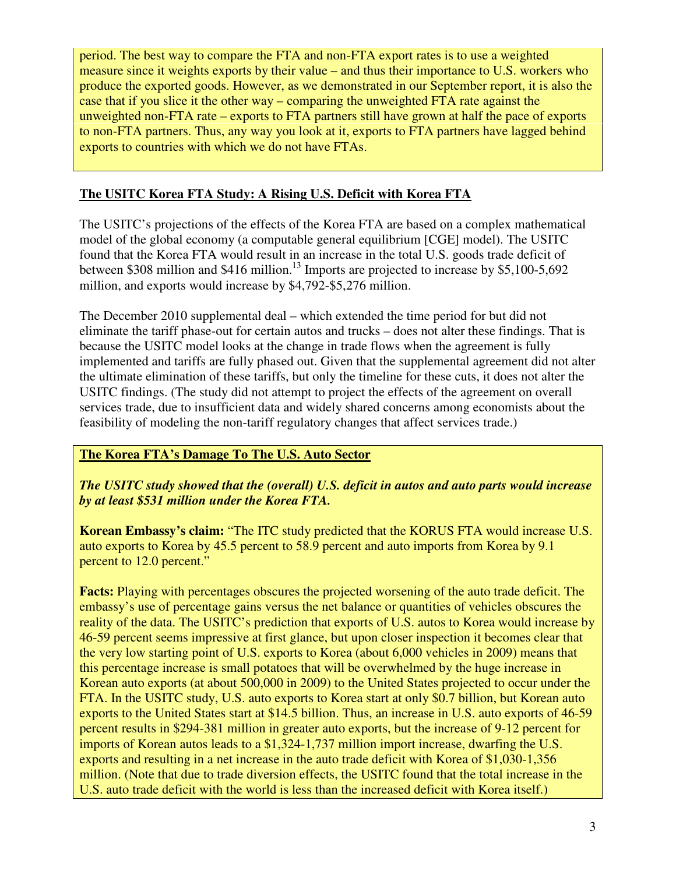period. The best way to compare the FTA and non-FTA export rates is to use a weighted measure since it weights exports by their value – and thus their importance to U.S. workers who produce the exported goods. However, as we demonstrated in our September report, it is also the case that if you slice it the other way – comparing the unweighted FTA rate against the unweighted non-FTA rate – exports to FTA partners still have grown at half the pace of exports to non-FTA partners. Thus, any way you look at it, exports to FTA partners have lagged behind exports to countries with which we do not have FTAs.

## **The USITC Korea FTA Study: A Rising U.S. Deficit with Korea FTA**

The USITC's projections of the effects of the Korea FTA are based on a complex mathematical model of the global economy (a computable general equilibrium [CGE] model). The USITC found that the Korea FTA would result in an increase in the total U.S. goods trade deficit of between \$308 million and \$416 million.<sup>13</sup> Imports are projected to increase by \$5,100-5,692 million, and exports would increase by \$4,792-\$5,276 million.

The December 2010 supplemental deal – which extended the time period for but did not eliminate the tariff phase-out for certain autos and trucks – does not alter these findings. That is because the USITC model looks at the change in trade flows when the agreement is fully implemented and tariffs are fully phased out. Given that the supplemental agreement did not alter the ultimate elimination of these tariffs, but only the timeline for these cuts, it does not alter the USITC findings. (The study did not attempt to project the effects of the agreement on overall services trade, due to insufficient data and widely shared concerns among economists about the feasibility of modeling the non-tariff regulatory changes that affect services trade.)

## **The Korea FTA's Damage To The U.S. Auto Sector**

*The USITC study showed that the (overall) U.S. deficit in autos and auto parts would increase by at least \$531 million under the Korea FTA.*

**Korean Embassy's claim:** "The ITC study predicted that the KORUS FTA would increase U.S. auto exports to Korea by 45.5 percent to 58.9 percent and auto imports from Korea by 9.1 percent to 12.0 percent."

**Facts:** Playing with percentages obscures the projected worsening of the auto trade deficit. The embassy's use of percentage gains versus the net balance or quantities of vehicles obscures the reality of the data. The USITC's prediction that exports of U.S. autos to Korea would increase by 46-59 percent seems impressive at first glance, but upon closer inspection it becomes clear that the very low starting point of U.S. exports to Korea (about 6,000 vehicles in 2009) means that this percentage increase is small potatoes that will be overwhelmed by the huge increase in Korean auto exports (at about 500,000 in 2009) to the United States projected to occur under the FTA. In the USITC study, U.S. auto exports to Korea start at only \$0.7 billion, but Korean auto exports to the United States start at \$14.5 billion. Thus, an increase in U.S. auto exports of 46-59 percent results in \$294-381 million in greater auto exports, but the increase of 9-12 percent for imports of Korean autos leads to a \$1,324-1,737 million import increase, dwarfing the U.S. exports and resulting in a net increase in the auto trade deficit with Korea of \$1,030-1,356 million. (Note that due to trade diversion effects, the USITC found that the total increase in the U.S. auto trade deficit with the world is less than the increased deficit with Korea itself.)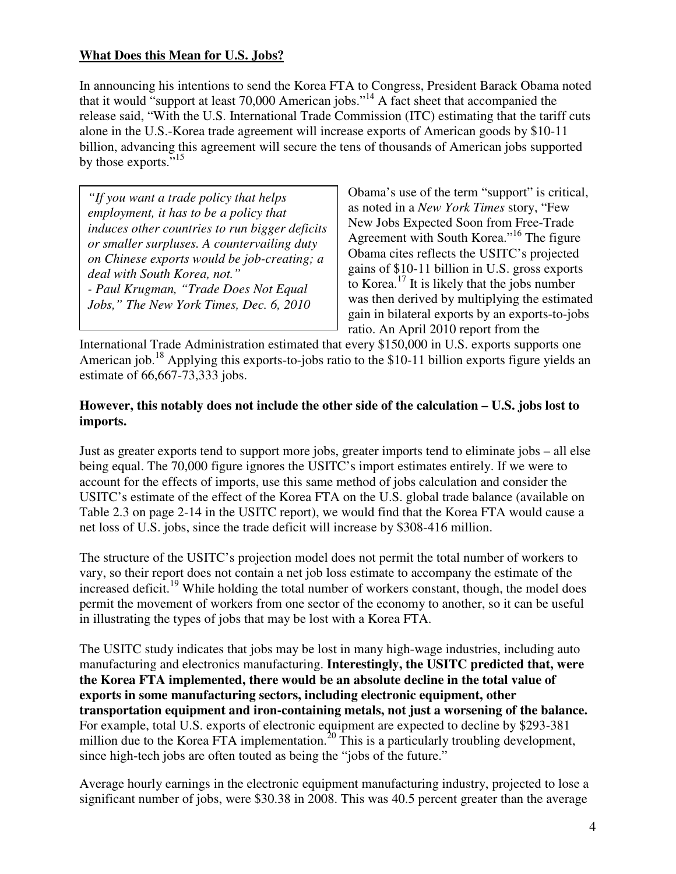#### **What Does this Mean for U.S. Jobs?**

In announcing his intentions to send the Korea FTA to Congress, President Barack Obama noted that it would "support at least 70,000 American jobs."<sup>14</sup> A fact sheet that accompanied the release said, "With the U.S. International Trade Commission (ITC) estimating that the tariff cuts alone in the U.S.-Korea trade agreement will increase exports of American goods by \$10-11 billion, advancing this agreement will secure the tens of thousands of American jobs supported by those exports."<sup>15</sup>

*"If you want a trade policy that helps employment, it has to be a policy that induces other countries to run bigger deficits or smaller surpluses. A countervailing duty on Chinese exports would be job-creating; a deal with South Korea, not." - Paul Krugman, "Trade Does Not Equal Jobs," The New York Times, Dec. 6, 2010* 

Obama's use of the term "support" is critical, as noted in a *New York Times* story, "Few New Jobs Expected Soon from Free-Trade Agreement with South Korea."<sup>16</sup> The figure Obama cites reflects the USITC's projected gains of \$10-11 billion in U.S. gross exports to Korea.<sup>17</sup> It is likely that the jobs number was then derived by multiplying the estimated gain in bilateral exports by an exports-to-jobs ratio. An April 2010 report from the

International Trade Administration estimated that every \$150,000 in U.S. exports supports one American job.<sup>18</sup> Applying this exports-to-jobs ratio to the \$10-11 billion exports figure yields an estimate of 66,667-73,333 jobs.

#### **However, this notably does not include the other side of the calculation – U.S. jobs lost to imports.**

Just as greater exports tend to support more jobs, greater imports tend to eliminate jobs – all else being equal. The 70,000 figure ignores the USITC's import estimates entirely. If we were to account for the effects of imports, use this same method of jobs calculation and consider the USITC's estimate of the effect of the Korea FTA on the U.S. global trade balance (available on Table 2.3 on page 2-14 in the USITC report), we would find that the Korea FTA would cause a net loss of U.S. jobs, since the trade deficit will increase by \$308-416 million.

The structure of the USITC's projection model does not permit the total number of workers to vary, so their report does not contain a net job loss estimate to accompany the estimate of the increased deficit.<sup>19</sup> While holding the total number of workers constant, though, the model does permit the movement of workers from one sector of the economy to another, so it can be useful in illustrating the types of jobs that may be lost with a Korea FTA.

The USITC study indicates that jobs may be lost in many high-wage industries, including auto manufacturing and electronics manufacturing. **Interestingly, the USITC predicted that, were the Korea FTA implemented, there would be an absolute decline in the total value of exports in some manufacturing sectors, including electronic equipment, other transportation equipment and iron-containing metals, not just a worsening of the balance.**  For example, total U.S. exports of electronic equipment are expected to decline by \$293-381 million due to the Korea FTA implementation.<sup>20</sup> This is a particularly troubling development, since high-tech jobs are often touted as being the "jobs of the future."

Average hourly earnings in the electronic equipment manufacturing industry, projected to lose a significant number of jobs, were \$30.38 in 2008. This was 40.5 percent greater than the average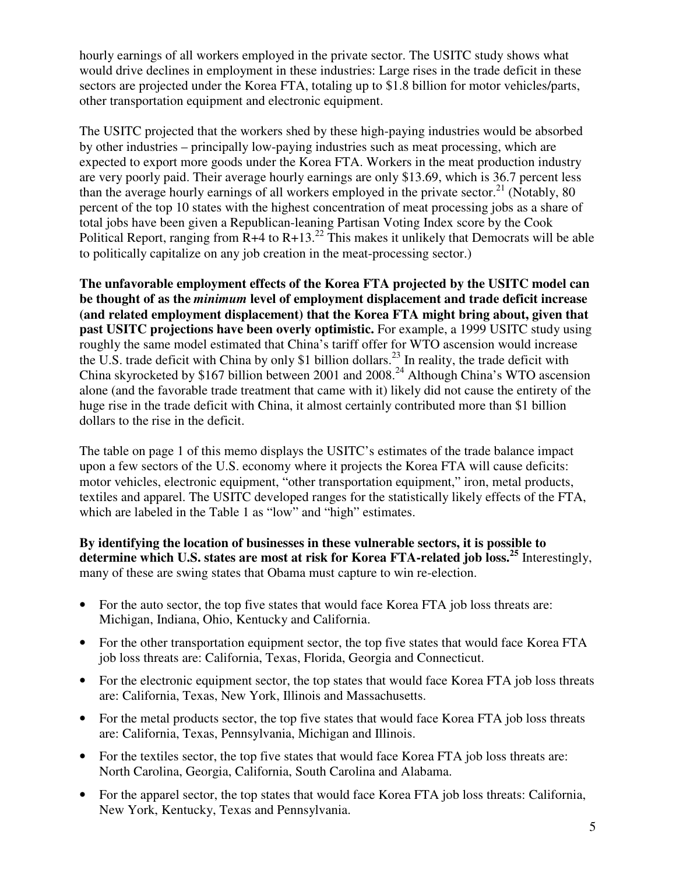hourly earnings of all workers employed in the private sector. The USITC study shows what would drive declines in employment in these industries: Large rises in the trade deficit in these sectors are projected under the Korea FTA, totaling up to \$1.8 billion for motor vehicles/parts, other transportation equipment and electronic equipment.

The USITC projected that the workers shed by these high-paying industries would be absorbed by other industries – principally low-paying industries such as meat processing, which are expected to export more goods under the Korea FTA. Workers in the meat production industry are very poorly paid. Their average hourly earnings are only \$13.69, which is 36.7 percent less than the average hourly earnings of all workers employed in the private sector.<sup>21</sup> (Notably, 80) percent of the top 10 states with the highest concentration of meat processing jobs as a share of total jobs have been given a Republican-leaning Partisan Voting Index score by the Cook Political Report, ranging from  $R+4$  to  $R+13.<sup>22</sup>$  This makes it unlikely that Democrats will be able to politically capitalize on any job creation in the meat-processing sector.)

**The unfavorable employment effects of the Korea FTA projected by the USITC model can be thought of as the** *minimum* **level of employment displacement and trade deficit increase (and related employment displacement) that the Korea FTA might bring about, given that past USITC projections have been overly optimistic.** For example, a 1999 USITC study using roughly the same model estimated that China's tariff offer for WTO ascension would increase the U.S. trade deficit with China by only \$1 billion dollars.<sup>23</sup> In reality, the trade deficit with China skyrocketed by \$167 billion between 2001 and  $2008.<sup>24</sup>$  Although China's WTO ascension alone (and the favorable trade treatment that came with it) likely did not cause the entirety of the huge rise in the trade deficit with China, it almost certainly contributed more than \$1 billion dollars to the rise in the deficit.

The table on page 1 of this memo displays the USITC's estimates of the trade balance impact upon a few sectors of the U.S. economy where it projects the Korea FTA will cause deficits: motor vehicles, electronic equipment, "other transportation equipment," iron, metal products, textiles and apparel. The USITC developed ranges for the statistically likely effects of the FTA, which are labeled in the Table 1 as "low" and "high" estimates.

**By identifying the location of businesses in these vulnerable sectors, it is possible to determine which U.S. states are most at risk for Korea FTA-related job loss.<sup>25</sup>** Interestingly, many of these are swing states that Obama must capture to win re-election.

- For the auto sector, the top five states that would face Korea FTA job loss threats are: Michigan, Indiana, Ohio, Kentucky and California.
- For the other transportation equipment sector, the top five states that would face Korea FTA job loss threats are: California, Texas, Florida, Georgia and Connecticut.
- For the electronic equipment sector, the top states that would face Korea FTA job loss threats are: California, Texas, New York, Illinois and Massachusetts.
- For the metal products sector, the top five states that would face Korea FTA job loss threats are: California, Texas, Pennsylvania, Michigan and Illinois.
- For the textiles sector, the top five states that would face Korea FTA job loss threats are: North Carolina, Georgia, California, South Carolina and Alabama.
- For the apparel sector, the top states that would face Korea FTA job loss threats: California, New York, Kentucky, Texas and Pennsylvania.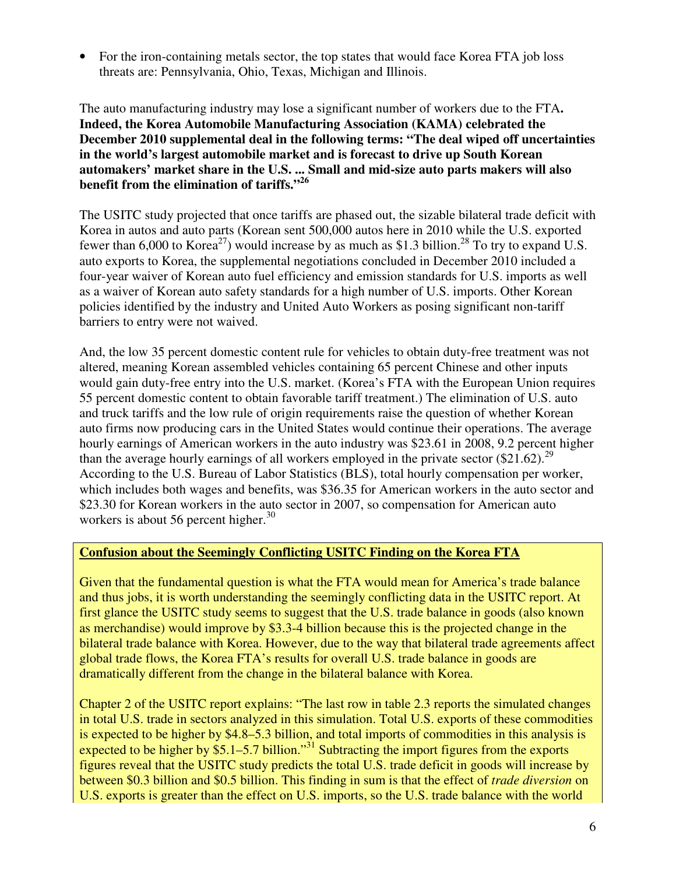• For the iron-containing metals sector, the top states that would face Korea FTA job loss threats are: Pennsylvania, Ohio, Texas, Michigan and Illinois.

The auto manufacturing industry may lose a significant number of workers due to the FTA**. Indeed, the Korea Automobile Manufacturing Association (KAMA) celebrated the December 2010 supplemental deal in the following terms: "The deal wiped off uncertainties in the world's largest automobile market and is forecast to drive up South Korean automakers' market share in the U.S. ... Small and mid-size auto parts makers will also benefit from the elimination of tariffs."<sup>26</sup>** 

The USITC study projected that once tariffs are phased out, the sizable bilateral trade deficit with Korea in autos and auto parts (Korean sent 500,000 autos here in 2010 while the U.S. exported fewer than 6,000 to Korea<sup>27</sup>) would increase by as much as \$1.3 billion.<sup>28</sup> To try to expand U.S. auto exports to Korea, the supplemental negotiations concluded in December 2010 included a four-year waiver of Korean auto fuel efficiency and emission standards for U.S. imports as well as a waiver of Korean auto safety standards for a high number of U.S. imports. Other Korean policies identified by the industry and United Auto Workers as posing significant non-tariff barriers to entry were not waived.

And, the low 35 percent domestic content rule for vehicles to obtain duty-free treatment was not altered, meaning Korean assembled vehicles containing 65 percent Chinese and other inputs would gain duty-free entry into the U.S. market. (Korea's FTA with the European Union requires 55 percent domestic content to obtain favorable tariff treatment.) The elimination of U.S. auto and truck tariffs and the low rule of origin requirements raise the question of whether Korean auto firms now producing cars in the United States would continue their operations. The average hourly earnings of American workers in the auto industry was \$23.61 in 2008, 9.2 percent higher than the average hourly earnings of all workers employed in the private sector  $(\$21.62)$ .<sup>29</sup> According to the U.S. Bureau of Labor Statistics (BLS), total hourly compensation per worker, which includes both wages and benefits, was \$36.35 for American workers in the auto sector and \$23.30 for Korean workers in the auto sector in 2007, so compensation for American auto workers is about 56 percent higher. $30$ 

#### **Confusion about the Seemingly Conflicting USITC Finding on the Korea FTA**

Given that the fundamental question is what the FTA would mean for America's trade balance and thus jobs, it is worth understanding the seemingly conflicting data in the USITC report. At first glance the USITC study seems to suggest that the U.S. trade balance in goods (also known as merchandise) would improve by \$3.3-4 billion because this is the projected change in the bilateral trade balance with Korea. However, due to the way that bilateral trade agreements affect global trade flows, the Korea FTA's results for overall U.S. trade balance in goods are dramatically different from the change in the bilateral balance with Korea.

Chapter 2 of the USITC report explains: "The last row in table 2.3 reports the simulated changes in total U.S. trade in sectors analyzed in this simulation. Total U.S. exports of these commodities is expected to be higher by \$4.8–5.3 billion, and total imports of commodities in this analysis is expected to be higher by \$5.1–5.7 billion."<sup>31</sup> Subtracting the import figures from the exports figures reveal that the USITC study predicts the total U.S. trade deficit in goods will increase by between \$0.3 billion and \$0.5 billion. This finding in sum is that the effect of *trade diversion* on U.S. exports is greater than the effect on U.S. imports, so the U.S. trade balance with the world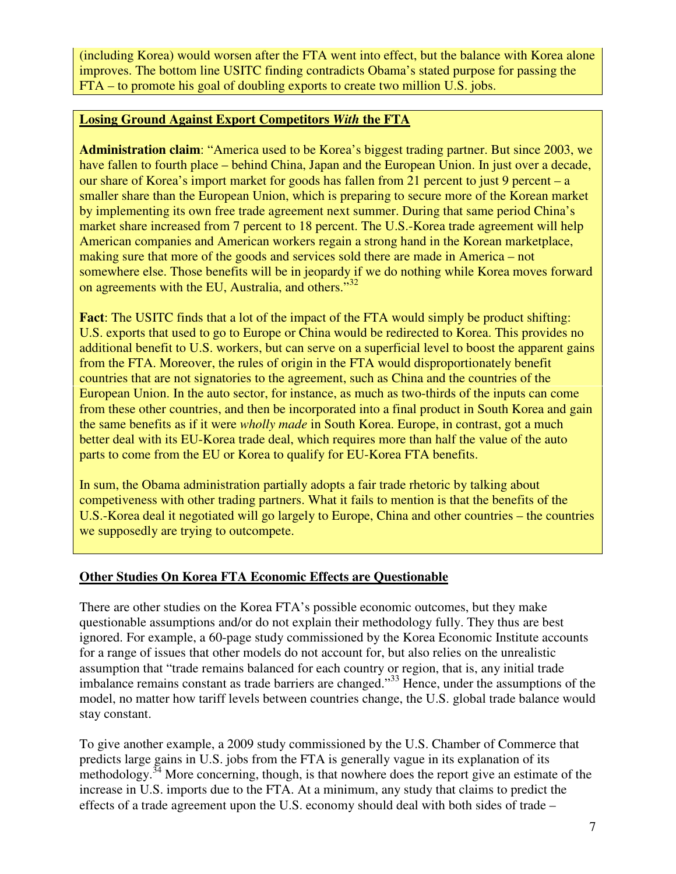(including Korea) would worsen after the FTA went into effect, but the balance with Korea alone improves. The bottom line USITC finding contradicts Obama's stated purpose for passing the FTA – to promote his goal of doubling exports to create two million U.S. jobs.

#### **Losing Ground Against Export Competitors** *With* **the FTA**

**Administration claim**: "America used to be Korea's biggest trading partner. But since 2003, we have fallen to fourth place – behind China, Japan and the European Union. In just over a decade, our share of Korea's import market for goods has fallen from 21 percent to just 9 percent – a smaller share than the European Union, which is preparing to secure more of the Korean market by implementing its own free trade agreement next summer. During that same period China's market share increased from 7 percent to 18 percent. The U.S.-Korea trade agreement will help American companies and American workers regain a strong hand in the Korean marketplace, making sure that more of the goods and services sold there are made in America – not somewhere else. Those benefits will be in jeopardy if we do nothing while Korea moves forward on agreements with the EU, Australia, and others."<sup>32</sup>

**Fact**: The USITC finds that a lot of the impact of the FTA would simply be product shifting: U.S. exports that used to go to Europe or China would be redirected to Korea. This provides no additional benefit to U.S. workers, but can serve on a superficial level to boost the apparent gains from the FTA. Moreover, the rules of origin in the FTA would disproportionately benefit countries that are not signatories to the agreement, such as China and the countries of the European Union. In the auto sector, for instance, as much as two-thirds of the inputs can come from these other countries, and then be incorporated into a final product in South Korea and gain the same benefits as if it were *wholly made* in South Korea. Europe, in contrast, got a much better deal with its EU-Korea trade deal, which requires more than half the value of the auto parts to come from the EU or Korea to qualify for EU-Korea FTA benefits.

In sum, the Obama administration partially adopts a fair trade rhetoric by talking about competiveness with other trading partners. What it fails to mention is that the benefits of the U.S.-Korea deal it negotiated will go largely to Europe, China and other countries – the countries we supposedly are trying to outcompete.

#### **Other Studies On Korea FTA Economic Effects are Questionable**

There are other studies on the Korea FTA's possible economic outcomes, but they make questionable assumptions and/or do not explain their methodology fully. They thus are best ignored. For example, a 60-page study commissioned by the Korea Economic Institute accounts for a range of issues that other models do not account for, but also relies on the unrealistic assumption that "trade remains balanced for each country or region, that is, any initial trade imbalance remains constant as trade barriers are changed."<sup>33</sup> Hence, under the assumptions of the model, no matter how tariff levels between countries change, the U.S. global trade balance would stay constant.

To give another example, a 2009 study commissioned by the U.S. Chamber of Commerce that predicts large gains in U.S. jobs from the FTA is generally vague in its explanation of its methodology.<sup>34</sup> More concerning, though, is that nowhere does the report give an estimate of the increase in U.S. imports due to the FTA. At a minimum, any study that claims to predict the effects of a trade agreement upon the U.S. economy should deal with both sides of trade –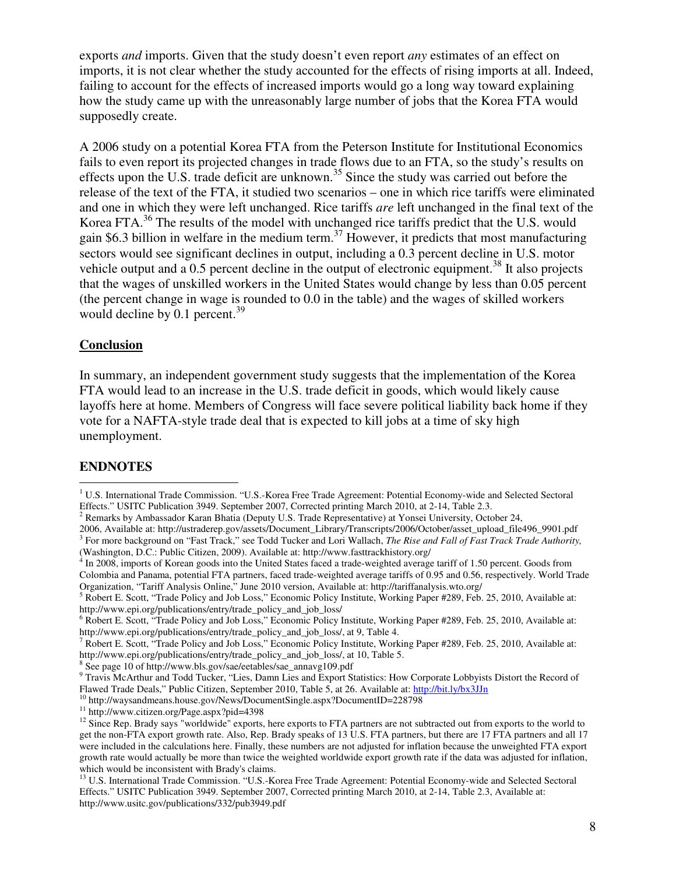exports *and* imports. Given that the study doesn't even report *any* estimates of an effect on imports, it is not clear whether the study accounted for the effects of rising imports at all. Indeed, failing to account for the effects of increased imports would go a long way toward explaining how the study came up with the unreasonably large number of jobs that the Korea FTA would supposedly create.

A 2006 study on a potential Korea FTA from the Peterson Institute for Institutional Economics fails to even report its projected changes in trade flows due to an FTA, so the study's results on effects upon the U.S. trade deficit are unknown.<sup>35</sup> Since the study was carried out before the release of the text of the FTA, it studied two scenarios – one in which rice tariffs were eliminated and one in which they were left unchanged. Rice tariffs *are* left unchanged in the final text of the Korea FTA.<sup>36</sup> The results of the model with unchanged rice tariffs predict that the U.S. would gain \$6.3 billion in welfare in the medium term.<sup>37</sup> However, it predicts that most manufacturing sectors would see significant declines in output, including a 0.3 percent decline in U.S. motor vehicle output and a 0.5 percent decline in the output of electronic equipment.<sup>38</sup> It also projects that the wages of unskilled workers in the United States would change by less than 0.05 percent (the percent change in wage is rounded to 0.0 in the table) and the wages of skilled workers would decline by  $0.1$  percent.<sup>39</sup>

#### **Conclusion**

In summary, an independent government study suggests that the implementation of the Korea FTA would lead to an increase in the U.S. trade deficit in goods, which would likely cause layoffs here at home. Members of Congress will face severe political liability back home if they vote for a NAFTA-style trade deal that is expected to kill jobs at a time of sky high unemployment.

#### **ENDNOTES**

 $\overline{a}$ 

<sup>10</sup> http://waysandmeans.house.gov/News/DocumentSingle.aspx?DocumentID=228798

<sup>&</sup>lt;sup>1</sup> U.S. International Trade Commission. "U.S.-Korea Free Trade Agreement: Potential Economy-wide and Selected Sectoral Effects." USITC Publication 3949. September 2007, Corrected printing March 2010, at 2-14, Table 2.3.

<sup>&</sup>lt;sup>2</sup> Remarks by Ambassador Karan Bhatia (Deputy U.S. Trade Representative) at Yonsei University, October 24,

<sup>2006,</sup> Available at: http://ustraderep.gov/assets/Document\_Library/Transcripts/2006/October/asset\_upload\_file496\_9901.pdf <sup>3</sup> For more background on "Fast Track," see Todd Tucker and Lori Wallach, *The Rise and Fall of Fast Track Trade Authority*, (Washington, D.C.: Public Citizen, 2009). Available at: http://www.fasttrackhistory.org/

<sup>&</sup>lt;sup>4</sup> In 2008, imports of Korean goods into the United States faced a trade-weighted average tariff of 1.50 percent. Goods from Colombia and Panama, potential FTA partners, faced trade-weighted average tariffs of 0.95 and 0.56, respectively. World Trade Organization, "Tariff Analysis Online," June 2010 version, Available at: http://tariffanalysis.wto.org/

<sup>&</sup>lt;sup>5</sup> Robert E. Scott, "Trade Policy and Job Loss," Economic Policy Institute, Working Paper #289, Feb. 25, 2010, Available at: http://www.epi.org/publications/entry/trade\_policy\_and\_job\_loss/

<sup>&</sup>lt;sup>6</sup> Robert E. Scott, "Trade Policy and Job Loss," Economic Policy Institute, Working Paper #289, Feb. 25, 2010, Available at: http://www.epi.org/publications/entry/trade\_policy\_and\_job\_loss/, at 9, Table 4.

<sup>&</sup>lt;sup>7</sup> Robert E. Scott, "Trade Policy and Job Loss," Economic Policy Institute, Working Paper #289, Feb. 25, 2010, Available at: http://www.epi.org/publications/entry/trade\_policy\_and\_job\_loss/, at 10, Table 5.

<sup>8</sup> See page 10 of http://www.bls.gov/sae/eetables/sae\_annavg109.pdf

<sup>&</sup>lt;sup>9</sup> Travis McArthur and Todd Tucker, "Lies, Damn Lies and Export Statistics: How Corporate Lobbyists Distort the Record of Flawed Trade Deals," Public Citizen, September 2010, Table 5, at 26. Available at: http://bit.ly/bx3JJn

<sup>11</sup> http://www.citizen.org/Page.aspx?pid=4398

 $12$  Since Rep. Brady says "worldwide" exports, here exports to FTA partners are not subtracted out from exports to the world to get the non-FTA export growth rate. Also, Rep. Brady speaks of 13 U.S. FTA partners, but there are 17 FTA partners and all 17 were included in the calculations here. Finally, these numbers are not adjusted for inflation because the unweighted FTA export growth rate would actually be more than twice the weighted worldwide export growth rate if the data was adjusted for inflation, which would be inconsistent with Brady's claims.

<sup>&</sup>lt;sup>13</sup> U.S. International Trade Commission. "U.S.-Korea Free Trade Agreement: Potential Economy-wide and Selected Sectoral Effects." USITC Publication 3949. September 2007, Corrected printing March 2010, at 2-14, Table 2.3, Available at: http://www.usitc.gov/publications/332/pub3949.pdf